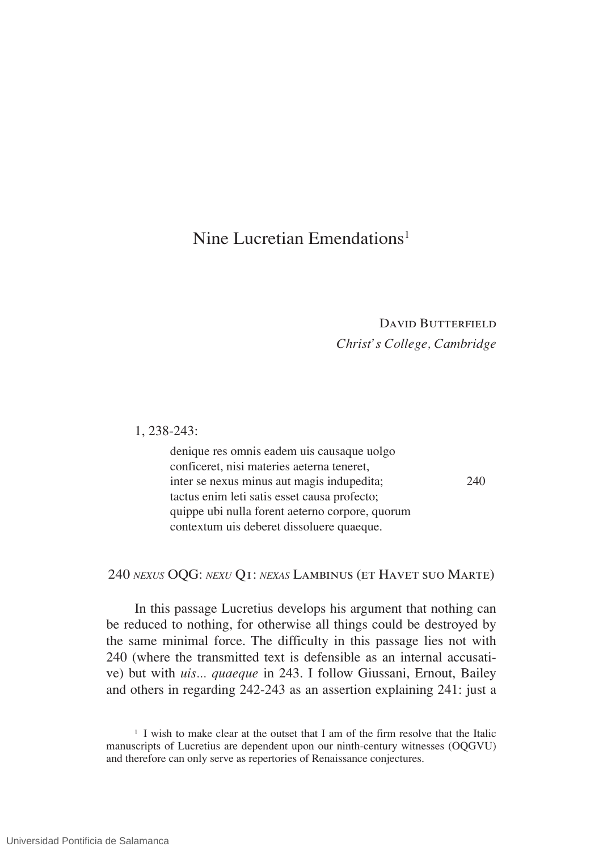# Nine Lucretian Emendations<sup>1</sup>

## DAVID BUTTERFIELD *Christ's College, Cambridge*

1, 238-243:

denique res omnis eadem uis causaque uolgo conficeret, nisi materies aeterna teneret, inter se nexus minus aut magis indupedita; 240 tactus enim leti satis esset causa profecto; quippe ubi nulla forent aeterno corpore, quorum contextum uis deberet dissoluere quaeque.

240 *nexus* OQG: *nexu* Q1: *nexas* Lambinus (et Havet suo Marte)

In this passage Lucretius develops his argument that nothing can be reduced to nothing, for otherwise all things could be destroyed by the same minimal force. The difficulty in this passage lies not with 240 (where the transmitted text is defensible as an internal accusative) but with *uis... quaeque* in 243. I follow Giussani, Ernout, Bailey and others in regarding 242-243 as an assertion explaining 241: just a

<sup>&</sup>lt;sup>1</sup> I wish to make clear at the outset that I am of the firm resolve that the Italic manuscripts of Lucretius are dependent upon our ninth-century witnesses (OQGVU) and therefore can only serve as repertories of Renaissance conjectures.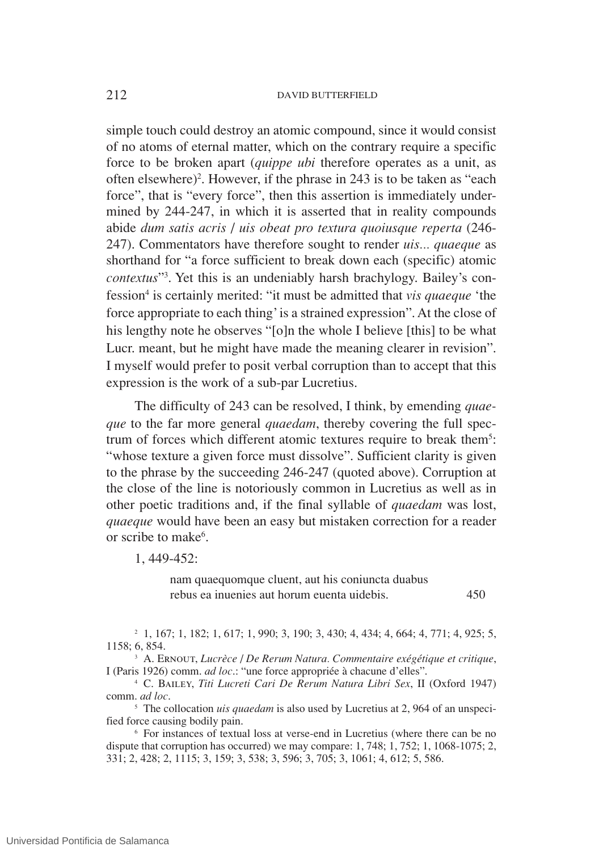simple touch could destroy an atomic compound, since it would consist of no atoms of eternal matter, which on the contrary require a specific force to be broken apart (*quippe ubi* therefore operates as a unit, as often elsewhere)<sup>2</sup>. However, if the phrase in 243 is to be taken as "each force", that is "every force", then this assertion is immediately undermined by 244-247, in which it is asserted that in reality compounds abide *dum satis acris* / *uis obeat pro textura quoiusque reperta* (246- 247). Commentators have therefore sought to render *uis... quaeque* as shorthand for "a force sufficient to break down each (specific) atomic *contextus*"3 . Yet this is an undeniably harsh brachylogy. Bailey's confession4 is certainly merited: "it must be admitted that *vis quaeque* 'the force appropriate to each thing'is a strained expression". At the close of his lengthy note he observes "[o]n the whole I believe [this] to be what Lucr. meant, but he might have made the meaning clearer in revision". I myself would prefer to posit verbal corruption than to accept that this expression is the work of a sub-par Lucretius.

The difficulty of 243 can be resolved, I think, by emending *quaeque* to the far more general *quaedam*, thereby covering the full spectrum of forces which different atomic textures require to break them<sup>5</sup>: "whose texture a given force must dissolve". Sufficient clarity is given to the phrase by the succeeding 246-247 (quoted above). Corruption at the close of the line is notoriously common in Lucretius as well as in other poetic traditions and, if the final syllable of *quaedam* was lost, *quaeque* would have been an easy but mistaken correction for a reader or scribe to make<sup>6</sup>.

1, 449-452:

nam quaequomque cluent, aut his coniuncta duabus rebus ea inuenies aut horum euenta uidebis. 450

<sup>2</sup> 1, 167; 1, 182; 1, 617; 1, 990; 3, 190; 3, 430; 4, 434; 4, 664; 4, 771; 4, 925; 5, 1158; 6, 854.

<sup>3</sup> A. Ernout, *Lucrèce* / *De Rerum Natura. Commentaire exégétique et critique*, I (Paris 1926) comm. *ad loc*.: "une force appropriée à chacune d'elles".

<sup>4</sup> C. Bailey, *Titi Lucreti Cari De Rerum Natura Libri Sex*, II (Oxford 1947) comm. *ad loc*.

<sup>5</sup> The collocation *uis quaedam* is also used by Lucretius at 2, 964 of an unspecified force causing bodily pain.

<sup>6</sup> For instances of textual loss at verse-end in Lucretius (where there can be no dispute that corruption has occurred) we may compare: 1, 748; 1, 752; 1, 1068-1075; 2, 331; 2, 428; 2, 1115; 3, 159; 3, 538; 3, 596; 3, 705; 3, 1061; 4, 612; 5, 586.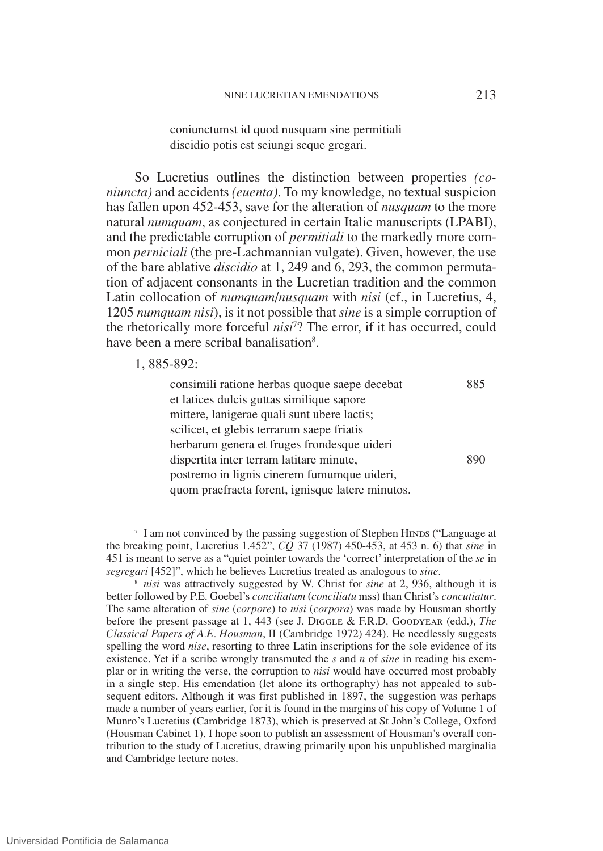So Lucretius outlines the distinction between properties *(coniuncta)* and accidents *(euenta)*. To my knowledge, no textual suspicion has fallen upon 452-453, save for the alteration of *nusquam* to the more natural *numquam*, as conjectured in certain Italic manuscripts (LPABI), and the predictable corruption of *permitiali* to the markedly more common *perniciali* (the pre-Lachmannian vulgate). Given, however, the use of the bare ablative *discidio* at 1, 249 and 6, 293, the common permutation of adjacent consonants in the Lucretian tradition and the common Latin collocation of *numquam*/*nusquam* with *nisi* (cf., in Lucretius, 4, 1205 *numquam nisi*), is it not possible that *sine* is a simple corruption of the rhetorically more forceful *nisi*<sup>7</sup> ? The error, if it has occurred, could have been a mere scribal banalisation<sup>8</sup>.

## 1, 885-892:

consimili ratione herbas quoque saepe decebat 885 et latices dulcis guttas similique sapore mittere, lanigerae quali sunt ubere lactis; scilicet, et glebis terrarum saepe friatis herbarum genera et fruges frondesque uideri dispertita inter terram latitare minute, 890 postremo in lignis cinerem fumumque uideri, quom praefracta forent, ignisque latere minutos.

<sup>7</sup> I am not convinced by the passing suggestion of Stephen HINDS ("Language at the breaking point, Lucretius 1.452", *CQ* 37 (1987) 450-453, at 453 n. 6) that *sine* in 451 is meant to serve as a "quiet pointer towards the 'correct'interpretation of the *se* in *segregari* [452]", which he believes Lucretius treated as analogous to *sine*.

<sup>8</sup> *nisi* was attractively suggested by W. Christ for *sine* at 2, 936, although it is better followed by P.E. Goebel's *conciliatum* (*conciliatu* mss) than Christ's *concutiatur*. The same alteration of *sine* (*corpore*) to *nisi* (*corpora*) was made by Housman shortly before the present passage at 1, 443 (see J. Diggle & F.R.D. Goodyear (edd.), *The Classical Papers of A.E. Housman*, II (Cambridge 1972) 424). He needlessly suggests spelling the word *nise*, resorting to three Latin inscriptions for the sole evidence of its existence. Yet if a scribe wrongly transmuted the *s* and *n* of *sine* in reading his exemplar or in writing the verse, the corruption to *nisi* would have occurred most probably in a single step. His emendation (let alone its orthography) has not appealed to subsequent editors. Although it was first published in 1897, the suggestion was perhaps made a number of years earlier, for it is found in the margins of his copy of Volume 1 of Munro's Lucretius (Cambridge 1873), which is preserved at St John's College, Oxford (Housman Cabinet 1). I hope soon to publish an assessment of Housman's overall contribution to the study of Lucretius, drawing primarily upon his unpublished marginalia and Cambridge lecture notes.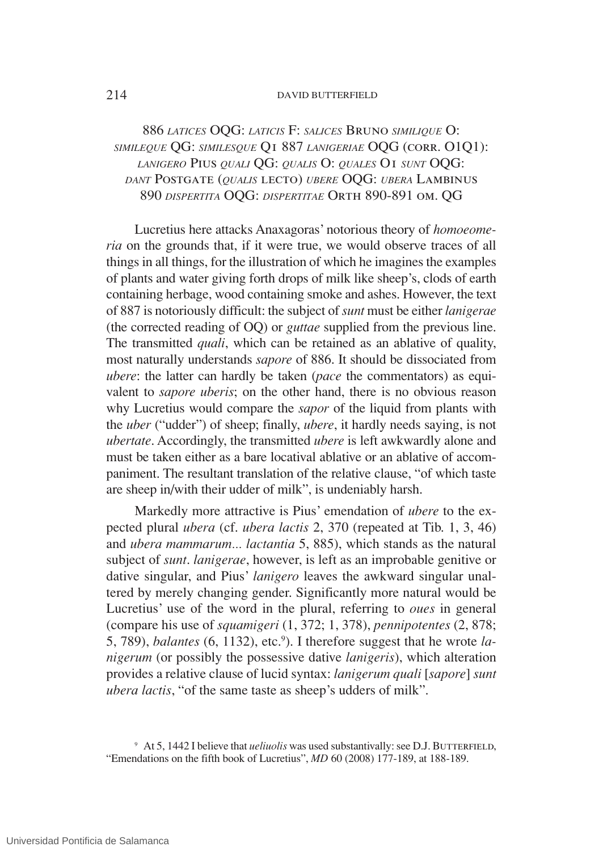## 886 *latices* OQG: *laticis* F: *salices* Bruno *similique* O: *simileque* QG: *similesque* Q1 887 *lanigeriae* OQG (corr. O1Q1): *lanigero* Pius *quali* QG: *qualis* O: *quales* O1 *sunt* OQG: *dant* Postgate (*qualis* lecto) *ubere* OQG: *ubera* Lambinus 890 *dispertita* OQG: *dispertitae* Orth 890-891 om. QG

Lucretius here attacks Anaxagoras' notorious theory of *homoeomeria* on the grounds that, if it were true, we would observe traces of all things in all things, for the illustration of which he imagines the examples of plants and water giving forth drops of milk like sheep's, clods of earth containing herbage, wood containing smoke and ashes. However, the text of 887 is notoriously difficult: the subject of*sunt* must be either *lanigerae* (the corrected reading of OQ) or *guttae* supplied from the previous line. The transmitted *quali*, which can be retained as an ablative of quality, most naturally understands *sapore* of 886. It should be dissociated from *ubere*: the latter can hardly be taken (*pace* the commentators) as equivalent to *sapore uberis*; on the other hand, there is no obvious reason why Lucretius would compare the *sapor* of the liquid from plants with the *uber* ("udder") of sheep; finally, *ubere*, it hardly needs saying, is not *ubertate*. Accordingly, the transmitted *ubere* is left awkwardly alone and must be taken either as a bare locatival ablative or an ablative of accompaniment. The resultant translation of the relative clause, "of which taste are sheep in/with their udder of milk", is undeniably harsh.

Markedly more attractive is Pius' emendation of *ubere* to the expected plural *ubera* (cf. *ubera lactis* 2, 370 (repeated at Tib. 1, 3, 46) and *ubera mammarum... lactantia* 5, 885), which stands as the natural subject of *sunt*. *lanigerae*, however, is left as an improbable genitive or dative singular, and Pius' *lanigero* leaves the awkward singular unaltered by merely changing gender. Significantly more natural would be Lucretius' use of the word in the plural, referring to *oues* in general (compare his use of *squamigeri* (1, 372; 1, 378), *pennipotentes* (2, 878; 5, 789), *balantes* (6, 1132), etc.<sup>9</sup> ). I therefore suggest that he wrote *lanigerum* (or possibly the possessive dative *lanigeris*), which alteration provides a relative clause of lucid syntax: *lanigerum quali* [*sapore*] *sunt ubera lactis*, "of the same taste as sheep's udders of milk".

<sup>&</sup>lt;sup>9</sup> At 5, 1442 I believe that *ueliuolis* was used substantivally: see D.J. BUTTERFIELD, "Emendations on the fifth book of Lucretius", *MD* 60 (2008) 177-189, at 188-189.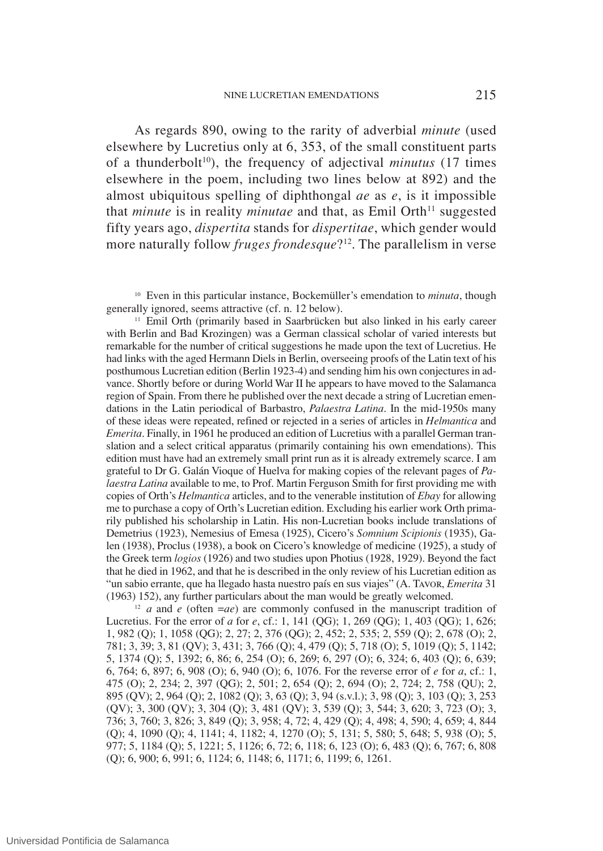As regards 890, owing to the rarity of adverbial *minute* (used elsewhere by Lucretius only at 6, 353, of the small constituent parts of a thunderbolt<sup>10</sup>), the frequency of adjectival *minutus* (17 times elsewhere in the poem, including two lines below at 892) and the almost ubiquitous spelling of diphthongal *ae* as *e*, is it impossible that *minute* is in reality *minutae* and that, as Emil Orth<sup>11</sup> suggested fifty years ago, *dispertita* stands for *dispertitae*, which gender would more naturally follow *fruges frondesque*?12. The parallelism in verse

<sup>10</sup> Even in this particular instance, Bockemüller's emendation to *minuta*, though generally ignored, seems attractive (cf. n. 12 below).

<sup>11</sup> Emil Orth (primarily based in Saarbrücken but also linked in his early career with Berlin and Bad Krozingen) was a German classical scholar of varied interests but remarkable for the number of critical suggestions he made upon the text of Lucretius. He had links with the aged Hermann Diels in Berlin, overseeing proofs of the Latin text of his posthumous Lucretian edition (Berlin 1923-4) and sending him his own conjectures in advance. Shortly before or during World War II he appears to have moved to the Salamanca region of Spain. From there he published over the next decade a string of Lucretian emendations in the Latin periodical of Barbastro, *Palaestra Latina*. In the mid-1950s many of these ideas were repeated, refined or rejected in a series of articles in *Helmantica* and *Emerita*. Finally, in 1961 he produced an edition of Lucretius with a parallel German translation and a select critical apparatus (primarily containing his own emendations). This edition must have had an extremely small print run as it is already extremely scarce. I am grateful to Dr G. Galán Vioque of Huelva for making copies of the relevant pages of *Palaestra Latina* available to me, to Prof. Martin Ferguson Smith for first providing me with copies of Orth's *Helmantica* articles, and to the venerable institution of *Ebay* for allowing me to purchase a copy of Orth's Lucretian edition. Excluding his earlier work Orth primarily published his scholarship in Latin. His non-Lucretian books include translations of Demetrius (1923), Nemesius of Emesa (1925), Cicero's *Somnium Scipionis* (1935), Galen (1938), Proclus (1938), a book on Cicero's knowledge of medicine (1925), a study of the Greek term *logios* (1926) and two studies upon Photius (1928, 1929). Beyond the fact that he died in 1962, and that he is described in the only review of his Lucretian edition as "un sabio errante, que ha llegado hasta nuestro país en sus viajes" (A. Tavor, *Emerita* 31 (1963) 152), any further particulars about the man would be greatly welcomed.

<sup>12</sup> *a* and *e* (often =*ae*) are commonly confused in the manuscript tradition of Lucretius. For the error of *a* for *e*, cf.: 1, 141 (QG); 1, 269 (QG); 1, 403 (QG); 1, 626; 1, 982 (Q); 1, 1058 (QG); 2, 27; 2, 376 (QG); 2, 452; 2, 535; 2, 559 (Q); 2, 678 (O); 2, 781; 3, 39; 3, 81 (QV); 3, 431; 3, 766 (Q); 4, 479 (Q); 5, 718 (O); 5, 1019 (Q); 5, 1142; 5, 1374 (Q); 5, 1392; 6, 86; 6, 254 (O); 6, 269; 6, 297 (O); 6, 324; 6, 403 (Q); 6, 639; 6, 764; 6, 897; 6, 908 (O); 6, 940 (O); 6, 1076. For the reverse error of *e* for *a*, cf.: 1, 475 (O); 2, 234; 2, 397 (QG); 2, 501; 2, 654 (Q); 2, 694 (O); 2, 724; 2, 758 (QU); 2, 895 (QV); 2, 964 (Q); 2, 1082 (Q); 3, 63 (Q); 3, 94 (s.v.l.); 3, 98 (Q); 3, 103 (Q); 3, 253 (QV); 3, 300 (QV); 3, 304 (Q); 3, 481 (QV); 3, 539 (Q); 3, 544; 3, 620; 3, 723 (O); 3, 736; 3, 760; 3, 826; 3, 849 (Q); 3, 958; 4, 72; 4, 429 (Q); 4, 498; 4, 590; 4, 659; 4, 844 (Q); 4, 1090 (Q); 4, 1141; 4, 1182; 4, 1270 (O); 5, 131; 5, 580; 5, 648; 5, 938 (O); 5, 977; 5, 1184 (Q); 5, 1221; 5, 1126; 6, 72; 6, 118; 6, 123 (O); 6, 483 (Q); 6, 767; 6, 808 (Q); 6, 900; 6, 991; 6, 1124; 6, 1148; 6, 1171; 6, 1199; 6, 1261.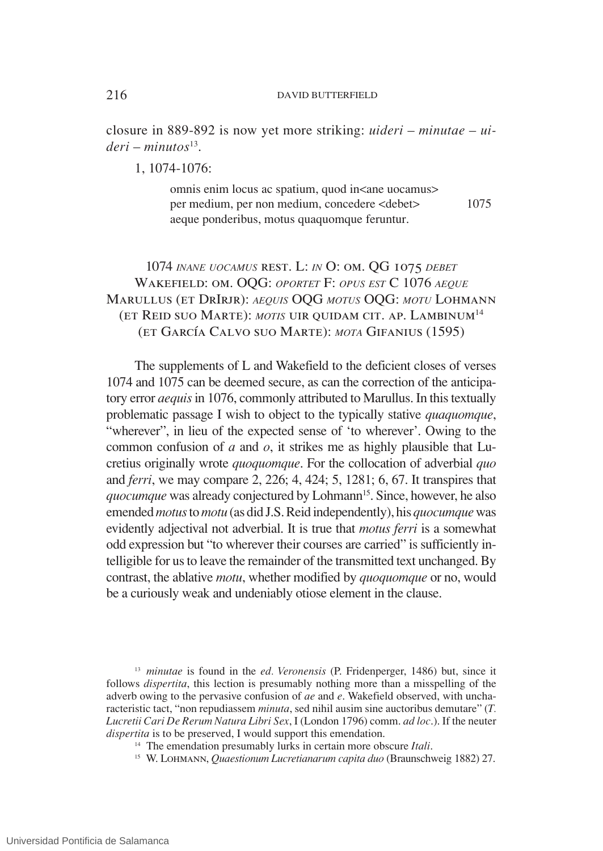closure in 889-892 is now yet more striking: *uideri* – *minutae* – *uideri* – *minutos*<sup>13</sup>.

 $1, 1074-1076$ 

omnis enim locus ac spatium, quod in<ane uocamus> per medium, per non medium, concedere <debet> 1075 aeque ponderibus, motus quaquomque feruntur.

1074 *inane uocamus* rest. L: *in* O: om. QG 1075 *debet* Wakefield: om. OQG: *oportet* F: *opus est* C 1076 *aeque* Marullus (et DrIrjr): *aequis* OQG *motus* OQG: *motu* Lohmann (et Reid suo Marte): *motis* uir quidam cit. ap. Lambinum<sup>14</sup> (et García Calvo suo Marte): *mota* Gifanius (1595)

The supplements of L and Wakefield to the deficient closes of verses 1074 and 1075 can be deemed secure, as can the correction of the anticipatory error *aequis*in 1076, commonly attributed to Marullus. In thistextually problematic passage I wish to object to the typically stative *quaquomque*, "wherever", in lieu of the expected sense of 'to wherever'. Owing to the common confusion of *a* and *o*, it strikes me as highly plausible that Lucretius originally wrote *quoquomque*. For the collocation of adverbial *quo* and *ferri*, we may compare 2, 226; 4, 424; 5, 1281; 6, 67. It transpires that *quocumque* was already conjectured by Lohmann<sup>15</sup>. Since, however, he also emended *motus* to *motu* (as did J.S.Reid independently), his *quocumque* was evidently adjectival not adverbial. It is true that *motus ferri* is a somewhat odd expression but "to wherever their courses are carried" is sufficiently intelligible for us to leave the remainder of the transmitted text unchanged. By contrast, the ablative *motu*, whether modified by *quoquomque* or no, would be a curiously weak and undeniably otiose element in the clause.

<sup>13</sup> *minutae* is found in the *ed. Veronensis* (P. Fridenperger, 1486) but, since it follows *dispertita*, this lection is presumably nothing more than a misspelling of the adverb owing to the pervasive confusion of *ae* and *e*. Wakefield observed, with uncharacteristic tact, "non repudiassem *minuta*, sed nihil ausim sine auctoribus demutare" (*T. Lucretii Cari De Rerum Natura Libri Sex*, I (London 1796) comm. *ad loc*.). If the neuter *dispertita* is to be preserved, I would support this emendation.

- <sup>14</sup> The emendation presumably lurks in certain more obscure *Itali*.
- <sup>15</sup> W. Lohmann, *Quaestionum Lucretianarum capita duo* (Braunschweig 1882) 27.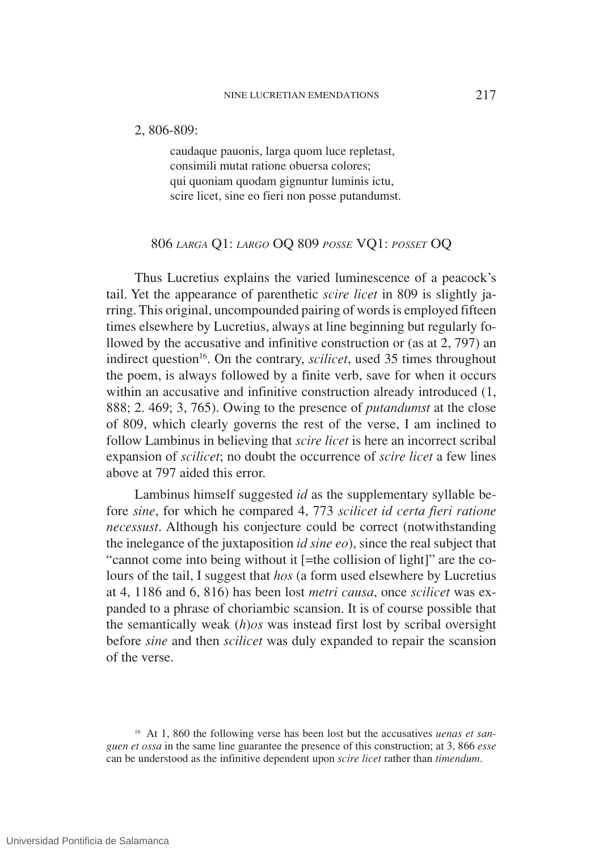#### 2, 806-809:

caudaque pauonis, larga quom luce repletast, consimili mutat ratione obuersa colores; qui quoniam quodam gignuntur luminis ictu, scire licet, sine eo fieri non posse putandumst.

## 806 *larga* Q1: *largo* OQ 809 *posse* VQ1: *posset* OQ

Thus Lucretius explains the varied luminescence of a peacock's tail. Yet the appearance of parenthetic *scire licet* in 809 is slightly jarring. This original, uncompounded pairing of words is employed fifteen times elsewhere by Lucretius, always at line beginning but regularly followed by the accusative and infinitive construction or (as at 2, 797) an indirect question<sup>16</sup>. On the contrary, *scilicet*, used 35 times throughout the poem, is always followed by a finite verb, save for when it occurs within an accusative and infinitive construction already introduced (1, 888; 2. 469; 3, 765). Owing to the presence of *putandumst* at the close of 809, which clearly governs the rest of the verse, I am inclined to follow Lambinus in believing that *scire licet* is here an incorrect scribal expansion of *scilicet*; no doubt the occurrence of *scire licet* a few lines above at 797 aided this error.

Lambinus himself suggested *id* as the supplementary syllable before *sine*, for which he compared 4, 773 *scilicet id certa fieri ratione necessust*. Although his conjecture could be correct (notwithstanding the inelegance of the juxtaposition *id sine eo*), since the real subject that "cannot come into being without it [=the collision of light]" are the colours of the tail, I suggest that *hos* (a form used elsewhere by Lucretius at 4, 1186 and 6, 816) has been lost *metri causa*, once *scilicet* was expanded to a phrase of choriambic scansion. It is of course possible that the semantically weak (*h*)*os* was instead first lost by scribal oversight before *sine* and then *scilicet* was duly expanded to repair the scansion of the verse.

<sup>16</sup> At 1, 860 the following verse has been lost but the accusatives *uenas et sanguen et ossa* in the same line guarantee the presence of this construction; at 3, 866 *esse* can be understood as the infinitive dependent upon *scire licet* rather than *timendum*.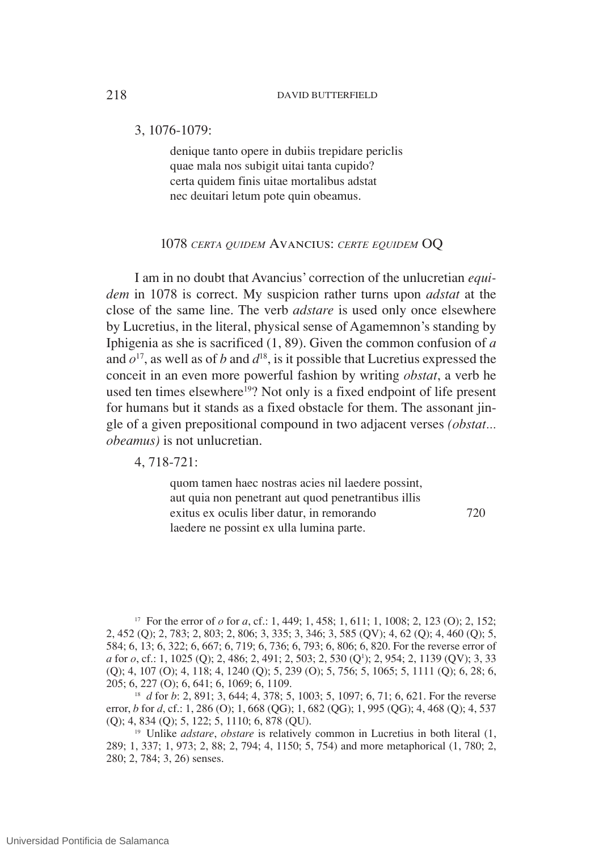3, 1076-1079:

denique tanto opere in dubiis trepidare periclis quae mala nos subigit uitai tanta cupido? certa quidem finis uitae mortalibus adstat nec deuitari letum pote quin obeamus.

## 1078 *certa quidem* Avancius: *certe equidem* OQ

I am in no doubt that Avancius' correction of the unlucretian *equidem* in 1078 is correct. My suspicion rather turns upon *adstat* at the close of the same line. The verb *adstare* is used only once elsewhere by Lucretius, in the literal, physical sense of Agamemnon's standing by Iphigenia as she is sacrificed (1, 89). Given the common confusion of *a* and  $o^{17}$ , as well as of *b* and  $d^{18}$ , is it possible that Lucretius expressed the conceit in an even more powerful fashion by writing *obstat*, a verb he used ten times elsewhere<sup>19</sup>? Not only is a fixed endpoint of life present for humans but it stands as a fixed obstacle for them. The assonant jingle of a given prepositional compound in two adjacent verses *(obstat... obeamus)* is not unlucretian.

## 4, 718-721:

quom tamen haec nostras acies nil laedere possint, aut quia non penetrant aut quod penetrantibus illis exitus ex oculis liber datur, in remorando 720 laedere ne possint ex ulla lumina parte.

<sup>17</sup> For the error of *o* for *a*, cf.: 1, 449; 1, 458; 1, 611; 1, 1008; 2, 123 (O); 2, 152; 2, 452 (Q); 2, 783; 2, 803; 2, 806; 3, 335; 3, 346; 3, 585 (QV); 4, 62 (Q); 4, 460 (Q); 5, 584; 6, 13; 6, 322; 6, 667; 6, 719; 6, 736; 6, 793; 6, 806; 6, 820. For the reverse error of *a* for *o*, cf.: 1, 1025 (Q); 2, 486; 2, 491; 2, 503; 2, 530 (Q<sup>1</sup>); 2, 954; 2, 1139 (QV); 3, 33 (Q); 4, 107 (O); 4, 118; 4, 1240 (Q); 5, 239 (O); 5, 756; 5, 1065; 5, 1111 (Q); 6, 28; 6, 205; 6, 227 (O); 6, 641; 6, 1069; 6, 1109.

<sup>18</sup> *d* for *b*: 2, 891; 3, 644; 4, 378; 5, 1003; 5, 1097; 6, 71; 6, 621. For the reverse error, *b* for *d*, cf.: 1, 286 (O); 1, 668 (QG); 1, 682 (QG); 1, 995 (QG); 4, 468 (Q); 4, 537 (Q); 4, 834 (Q); 5, 122; 5, 1110; 6, 878 (QU).

<sup>19</sup> Unlike *adstare*, *obstare* is relatively common in Lucretius in both literal (1, 289; 1, 337; 1, 973; 2, 88; 2, 794; 4, 1150; 5, 754) and more metaphorical (1, 780; 2, 280; 2, 784; 3, 26) senses.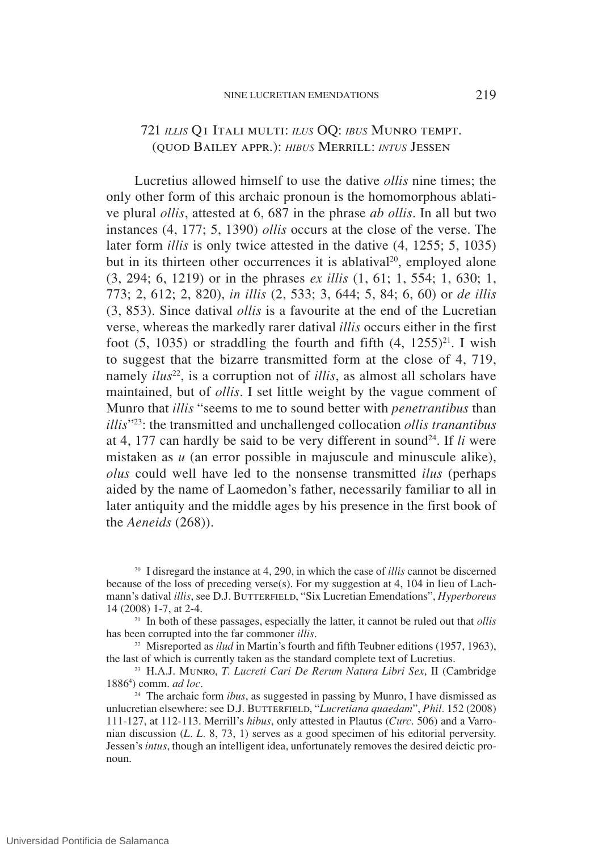## 721 *illis* Q1 Itali multi: *ilus* OQ: *ibus* Munro tempt. (quod Bailey appr.): *hibus* Merrill: *intus* Jessen

Lucretius allowed himself to use the dative *ollis* nine times; the only other form of this archaic pronoun is the homomorphous ablative plural *ollis*, attested at 6, 687 in the phrase *ab ollis*. In all but two instances (4, 177; 5, 1390) *ollis* occurs at the close of the verse. The later form *illis* is only twice attested in the dative (4, 1255; 5, 1035) but in its thirteen other occurrences it is ablatival<sup>20</sup>, employed alone (3, 294; 6, 1219) or in the phrases *ex illis* (1, 61; 1, 554; 1, 630; 1, 773; 2, 612; 2, 820), *in illis* (2, 533; 3, 644; 5, 84; 6, 60) or *de illis* (3, 853). Since datival *ollis* is a favourite at the end of the Lucretian verse, whereas the markedly rarer datival *illis* occurs either in the first foot  $(5, 1035)$  or straddling the fourth and fifth  $(4, 1255)^{21}$ . I wish to suggest that the bizarre transmitted form at the close of 4, 719, namely *ilus*<sup>22</sup>, is a corruption not of *illis*, as almost all scholars have maintained, but of *ollis*. I set little weight by the vague comment of Munro that *illis* "seems to me to sound better with *penetrantibus* than *illis*"23: the transmitted and unchallenged collocation *ollis tranantibus* at 4, 177 can hardly be said to be very different in sound<sup>24</sup>. If  $li$  were mistaken as *u* (an error possible in majuscule and minuscule alike), *olus* could well have led to the nonsense transmitted *ilus* (perhaps aided by the name of Laomedon's father, necessarily familiar to all in later antiquity and the middle ages by his presence in the first book of the *Aeneids* (268)).

<sup>20</sup> I disregard the instance at 4, 290, in which the case of *illis* cannot be discerned because of the loss of preceding verse(s). For my suggestion at 4, 104 in lieu of Lachmann's datival *illis*, see D.J. BUTTERFIELD, "Six Lucretian Emendations", *Hyperboreus* 14 (2008) 1-7, at 2-4.

<sup>21</sup> In both of these passages, especially the latter, it cannot be ruled out that *ollis* has been corrupted into the far commoner *illis*.

<sup>22</sup> Misreported as *ilud* in Martin's fourth and fifth Teubner editions (1957, 1963), the last of which is currently taken as the standard complete text of Lucretius.

<sup>23</sup> H.A.J. Munro, *T. Lucreti Cari De Rerum Natura Libri Sex*, II (Cambridge 1886<sup>4</sup> ) comm. *ad loc*.

<sup>24</sup> The archaic form *ibus*, as suggested in passing by Munro, I have dismissed as unlucretian elsewhere: see D.J. BUTTERFIELD, "Lucretiana quaedam", Phil. 152 (2008) 111-127, at 112-113. Merrill's *hibus*, only attested in Plautus (*Curc*. 506) and a Varronian discussion (*L. L.* 8, 73, 1) serves as a good specimen of his editorial perversity. Jessen's *intus*, though an intelligent idea, unfortunately removes the desired deictic pronoun.